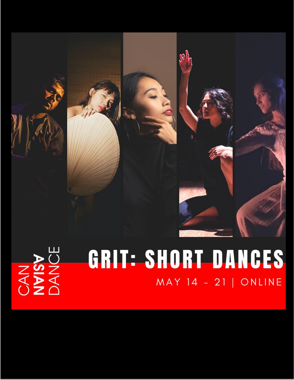

# CAN<br>
NYISY<br>
DANCE

# GRIT: SHORT DANCES MAY 14 - 21 | ONLINE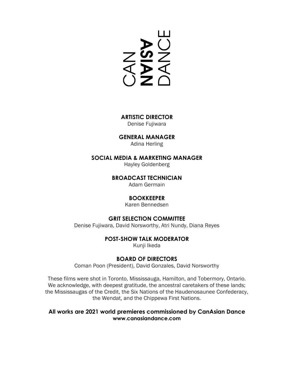**SAN<br>SAN<br>SAN** 

**ARTISTIC DIRECTOR** Denise Fujiwara

**GENERAL MANAGER**

Adina Herling

#### **SOCIAL MEDIA & MARKETING MANAGER**

Hayley Goldenberg

#### **BROADCAST TECHNICIAN**

Adam Germain

#### **BOOKKEEPER**

Karen Bennedsen

#### **GRIT SELECTION COMMITTEE**

Denise Fujiwara, David Norsworthy, Atri Nundy, Diana Reyes

#### **POST-SHOW TALK MODERATOR**

Kunji Ikeda

### **BOARD OF DIRECTORS**

Coman Poon (President), David Gonzales, David Norsworthy

These films were shot in Toronto, Mississauga, Hamilton, and Tobermory, Ontario. We acknowledge, with deepest gratitude, the ancestral caretakers of these lands; the Mississaugas of the Credit, the Six Nations of the Haudenosaunee Confederacy, the Wendat, and the Chippewa First Nations.

#### **All works are 2021 world premieres commissioned by CanAsian Dance [www.canasiandance.com](http://www.canasiandance.com/)**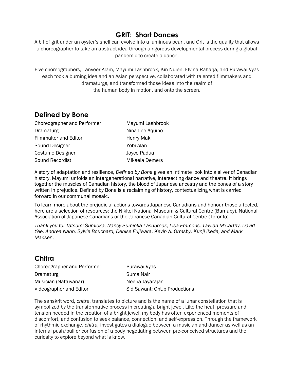# **GRIT: Short Dances**

A bit of grit under an oyster's shell can evolve into a luminous pearl, and Grit is the quality that allows a choreographer to take an abstract idea through a rigorous developmental process during a global pandemic to create a dance.

Five choreographers, Tanveer Alam, Mayumi Lashbrook, Kin Nuien, Elvina Raharja, and Purawai Vyas each took a burning idea and an Asian perspective, collaborated with talented filmmakers and dramaturgs, and transformed those ideas into the realm of the human body in motion, and onto the screen.

# **Defined by Bone**

| Choreographer and Performer | Mayumi Lashbrook |
|-----------------------------|------------------|
| Dramaturg                   | Nina Lee Aquino  |
| Filmmaker and Editor        | Henry Mak        |
| Sound Designer              | Yobi Alan        |
| Costume Designer            | Joyce Padua      |
| Sound Recordist             | Mikaela Demers   |

A story of adaptation and resilience, *Defined by Bone* gives an intimate look into a sliver of Canadian history. Mayumi unfolds an intergenerational narrative, intersecting dance and theatre. It brings together the muscles of Canadian history, the blood of Japanese ancestry and the bones of a story written in prejudice. Defined by Bone is a reclaiming of history, contextualizing what is carried forward in our communal mosaic.

To learn more about the prejudicial actions towards Japanese Canadians and honour those affected, here are a selection of resources: the Nikkei National Museum & Cultural Centre (Burnaby), National Association of Japanese Canadians or the Japanese Canadian Cultural Centre (Toronto).

*Thank you to: Tatsumi Sumioka, Nancy Sumioka-Lashbrook, Lisa Emmons, Tawiah M'Carthy, David Yee, Andrea Nann, Sylvie Bouchard, Denise Fujiwara, Kevin A. Ormsby, Kunji Ikeda, and Mark Madsen.*

# **Chitra**

| Choreographer and Performer | Purawai Vyas                 |
|-----------------------------|------------------------------|
| Dramaturg                   | Suma Nair                    |
| Musician (Nattuvanar)       | Neena Jayarajan              |
| Videographer and Editor     | Sid Sawant; OnUp Productions |

The sanskrit word, *chitra*, translates to picture and is the name of a lunar constellation that is symbolized by the transformative process in creating a bright jewel. Like the heat, pressure and tension needed in the creation of a bright jewel, my body has often experienced moments of discomfort, and confusion to seek balance, connection, and self-expression. Through the framework of rhythmic exchange, *chitra,* investigates a dialogue between a musician and dancer as well as an internal push/pull or confusion of a body negotiating between pre-conceived structures and the curiosity to explore beyond what is know.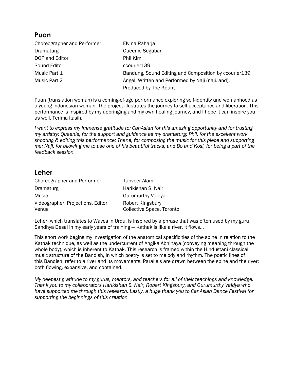# **Puan**

Choreographer and Performer Elvina Raharja Dramaturg Queenie Seguban DOP and Editor **Phil Kim** Sound Editor **Countilians** ccourier139 Music Part 1 **Bandung, Sound Editing and Composition by ccourier139** Music Part 2 **Angel, Written and Performed by Naji (naji.land)**, Produced by The Kount

Puan (translation woman) is a coming-of-age performance exploring self-identity and womanhood as a young Indonesian woman. The project illustrates the journey to self-acceptance and liberation. This performance is inspired by my upbringing and my own healing journey, and I hope it can inspire you as well. Terima kasih.

*I want to express my immense gratitude to: CanAsian for this amazing opportunity and for trusting my artistry; Queenie, for the support and guidance as my dramaturg; Phil, for the excellent work shooting & editing this performance; Thane, for composing the music for this piece and supporting me; Naji, for allowing me to use one of his beautiful tracks; and Bo and Kosi, for being a part of the feedback session.*

# **Leher**

| Choreographer and Performer                | Tanveer Alam                                         |
|--------------------------------------------|------------------------------------------------------|
| Dramaturg                                  | Harikishan S. Nair                                   |
| Music                                      | <b>Gurumurthy Vaidya</b>                             |
| Videographer, Projections, Editor<br>Venue | Robert Kingsbury<br><b>Collective Space, Toronto</b> |

Leher, which translates to Waves in Urdu, is inspired by a phrase that was often used by my guru Sandhya Desai in my early years of training — Kathak is like a river, it flows…

This short work begins my investigation of the anatomical specificities of the spine in relation to the Kathak technique, as well as the undercurrent of Angika Abhinaya (conveying meaning through the whole body), which is inherent to Kathak. This research is framed within the Hindustani classical music structure of the Bandish, in which poetry is set to melody and rhythm. The poetic lines of this Bandish, refer to a river and its movements. Parallels are drawn between the spine and the river: both flowing, expansive, and contained.

*My deepest gratitude to my gurus, mentors, and teachers for all of their teachings and knowledge. Thank you to my collaborators Harikishan S. Nair, Robert Kingsbury, and Gurumurthy Vaidya who have supported me through this research. Lastly, a huge thank you to CanAsian Dance Festival for supporting the beginnings of this creation.*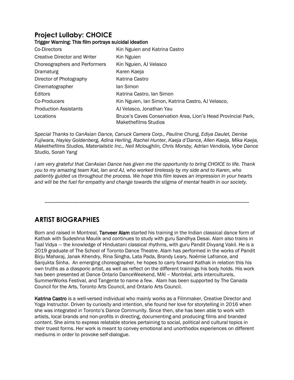# **Project Lullaby: CHOICE**

#### Trigger Warning: This film portrays suicidal ideation

| Co-Directors                        | Kin Nguien and Katrina Castro                                                         |
|-------------------------------------|---------------------------------------------------------------------------------------|
| <b>Creative Director and Writer</b> | Kin Nguien                                                                            |
| Choreographers and Performers       | Kin Nguien, AJ Velasco                                                                |
| Dramaturg                           | Karen Kaeja                                                                           |
| Director of Photography             | Katrina Castro                                                                        |
| Cinematographer                     | lan Simon                                                                             |
| Editors                             | Katrina Castro, lan Simon                                                             |
| Co-Producers                        | Kin Nguien, Ian Simon, Katrina Castro, AJ Velasco,                                    |
| <b>Production Assistants</b>        | AJ Velasco, Jonathan Yau                                                              |
| Locations                           | Bruce's Caves Conservation Area, Lion's Head Provincial Park,<br>Makethefilms Studios |

*Special Thanks to CanAsian Dance, Canuck Camera Corp., Pauline Chung, Ediya Daulet, Denise Fujiwara, Hayley Goldenberg, Adina Herling, Rachel Hunter, Kaeja d'Dance, Allen Kaeja, Mika Kaeja, Makethefilms Studios, Materialistic Inc., Neil Mcloughlin, Chris Morsby, Adrian Vendiola, Vybe Dance Studio, Sorah Yang*

*I am very grateful that CanAsian Dance has given me the opportunity to bring CHOICE to life. Thank you to my amazing team Kat, Ian and AJ, who worked tirelessly by my side and to Karen, who patiently guided us throughout the process. We hope this film leaves an impression in your hearts and will be the fuel for empathy and change towards the stigma of mental health in our society.*

\_\_\_\_\_\_\_\_\_\_\_\_\_\_\_\_\_\_\_\_\_\_\_\_\_\_\_\_\_\_\_\_\_\_\_\_\_\_\_\_\_\_\_\_\_\_\_\_\_\_\_\_\_\_\_\_\_\_\_\_\_\_\_\_\_\_\_\_\_\_\_

# **ARTIST BIOGRAPHIES**

Born and raised in Montreal, Tanveer Alam started his training in the Indian classical dance form of Kathak with Sudeshna Maulik and continues to study with guru Sandhya Desai. Alam also trains in Taal Vidya — the knowledge of Hindustani classical rhythms, with guru Pandit Divyang Vakil. He is a 2019 graduate of The School of Toronto Dance Theatre. Alam has performed in the works of Pandit Birju Maharaj, Janak Khendry, Rina Singha, Lata Pada, Brandy Leary, Noémie Lafrance, and Sanjukta Sinha. An emerging choreographer, he hopes to carry forward Kathak in relation this his own truths as a diasporic artist, as well as reflect on the different trainings his body holds. His work has been presented at Dance Ontario DanceWeekend, MAI – Montréal, arts interculturels, SummerWorks Festival, and Tangente to name a few. Alam has been supported by The Canada Council for the Arts, Toronto Arts Council, and Ontario Arts Council.

Katrina Castro is a well-versed individual who mainly works as a Filmmaker, Creative Director and Yoga Instructor. Driven by curiosity and intention, she found her love for storytelling in 2016 when she was integrated in Toronto's Dance Community. Since then, she has been able to work with artists, local brands and non-profits in directing, documenting and producing films and branded content. She aims to express relatable stories pertaining to social, political and cultural topics in their truest forms. Her work is meant to convey emotional and unorthodox experiences on different mediums in order to provoke self-dialogue.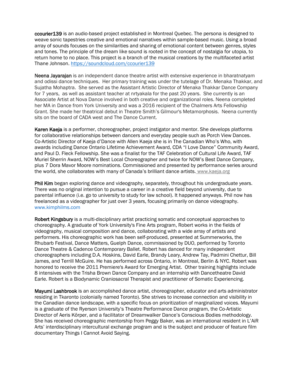ccourier139 is an audio-based project established in Montreal Quebec. The persona is designed to weave sonic tapestries creative and emotional narratives within sample-based music. Using a broad array of sounds focuses on the similarities and sharing of emotional content between genres, styles and tones. The principle of the dream like sound is rooted in the concept of nostalgia for utopia, to return home to no place. This project is a branch of the musical creations by the multifaceted artist Thane Johnson.<https://soundcloud.com/ccourier139>

Neena Jayarajan is an independent dance theatre artist with extensive experience in bharatnatyam and odissi dance techniques. Her primary training was under the tutelage of Dr. Menaka Thakkar, and Sujatha Mohaptra. She served as the Assistant Artistic Director of Menaka Thakkar Dance Company for 7 years, as well as assistant teacher at nrtyakala for the past 20 years. She currently is an Associate Artist at Nova Dance involved in both creative and organizational roles. Neena completed her MA in Dance from York University and was a 2016 recipient of the Chalmers Arts Fellowship Grant. She made her theatrical debut in Theatre Smith's Gilmour's Metamorphosis. Neena currently sits on the board of CADA west and The Dance Current.

Karen Kaeja is a performer, choreographer, project instigator and mentor. She develops platforms for collaborative relationships between dancers and everyday people such as Porch View Dances. Co-Artistic Director of Kaeja d'Dance with Allen Kaeja she is in The Canadian Who's Who, with awards including Dance Ontario Lifetime Achievement Award, CDA "I Love Dance" Community Award, and Paul D. Fleck Fellowship. She was a finalist for the TAF Celebration of Cultural Life Award, TAF Muriel Sherrin Award, NOW's Best Local Choreographer and twice for NOW's Best Dance Company, plus 7 Dora Mavor Moore nominations. Commissioned and presented by performance series around the world, she collaborates with many of Canada's brilliant dance artists. www.kaeja.org

Phil Kim began exploring dance and videography, separately, throughout his undergraduate years. There was no original intention to pursue a career in a creative field beyond university, due to parental influence (i.e. go to university to study for law school). It happened anyways. Phil now has freelanced as a videographer for just over 3 years, focusing primarily on dance videography. [www.kimphilms.com](http://www.kimphilms.com/)

Robert Kingsbury is a multi-disciplinary artist practicing somatic and conceptual approaches to choreography. A graduate of York University's Fine Arts program, Robert works in the fields of videography, musical composition and dance, collaborating with a wide array of artists and performers. His choreographic work has been self-produced, presented at Summerworks, the Rhubarb Festival, Dance Matters, Guelph Dance, commissioned by DUO, performed by Toronto Dance Theatre & Cadence Contemporary Ballet. Robert has danced for many independent choreographers including D.A. Hoskins, David Earle, Brandy Leary, Andrew Tay, Padmini Chettur, Bill James, and Terrill McGuire. He has performed across Ontario, in Montreal, Berlin & NYC. Robert was honored to receive the 2011 Premiere's Award for Emerging Artist. Other training highlights include 8 intensives with the Trisha Brown Dance Company and an internship with Dancetheatre David Earle. Robert is a Biodynamic Craniosacral Therapist and practitioner of Somatic Experiencing.

Mayumi Lashbrook is an accomplished dance artist, choreographer, educator and arts administrator residing in Tkaronto (colonially named Toronto). She strives to increase connection and visibility in the Canadian dance landscape, with a specific focus on prioritization of marginalized voices. Mayumi is a graduate of the Ryerson University's Theatre Performance Dance program, the Co-Artistic Director of Aeris Körper, and a facilitator of Dreamwalker Dance's Conscious Bodies methodology. She has received choreographic mentorship from Peggy Baker, was an international resident in L'AiR Arts' interdisciplinary intercultural exchange program and is the subject and producer of feature film documentary Things I Cannot Avoid Saying.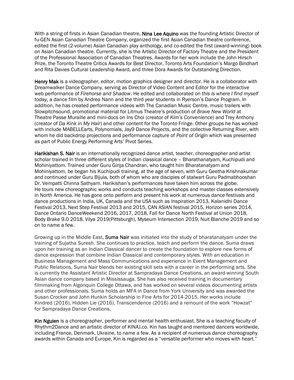With a string of firsts in Asian Canadian theatre, Nina Lee Aquino was the founding Artistic Director of fu-GEN Asian Canadian Theatre Company, organized the first Asian Canadian theatre conference, edited the first (2-volume) Asian Canadian play anthology, and co-edited the first (award-winning) book on Asian Canadian theatre. Currently, she is the Artistic Director of Factory Theatre and the President of the Professional Association of Canadian Theatres. Awards for her work include the John Hirsch Prize, the Toronto Theatre Critics Awards for Best Director, Toronto Arts Foundation's Margo Bindhart and Rita Davies Cultural Leadership Award, and three Dora Awards for Outstanding Direction.

Henry Mak is a videographer, editor, motion graphics designer and director. He is a collaborator with Dreamwalker Dance Company, serving as Director of Video Content and Editor for the interactive web performance of *Firehorse and Shadow*. He edited and collaborated on *this is where I find myself today*, a dance film by Andrea Nann and the third year students in Ryerson's Dance Program. In addition, he has created performance videos with The Canadian Music Centre, music trailers with Slowpitchsound, promotional material for Litmus Theatre's production of *Brave New World* at Theatre Passe Muraille and mini-docs on Ins Choi (creator of *Kim's Convenience*) and Trey Anthony (creator of *Da Kink in My Hair*) and other content for the Toronto Fringe. Other groups he has worked with include MABELLEarts, Polynomials, Jay9 Dance Projects, and the collective Returning River, with whom he did backdrop projections and performance capture of *Point of Origin* which was presented as part of Public Energy Performing Arts' Pivot Series.

Harikishan S. Nair is an internationally recognized dance artist, teacher, choreographer and artist scholar trained in three different styles of Indian classical dance – Bharathanatyam, Kuchipudi and Mohiniyattom. Trained under Guru Girija Chandran, who taught him Bharatanatyam and Mohiniyattom, be began his Kuchipudi training, at the age of seven, with Guru Geetha Krishnakumar and continued under Guru Bijula, both of whom who are disciples of stalwart Guru Padmabhooshan Dr. Vempatti Chinna Sathyam. Harikishan's performances have taken him across the globe. He tours new choreographic works and conducts teaching workshops and master classes extensively in North America. He has gone onto perform and present his work at numerous dance festivals and dance productions in India, UK, Canada and the USA such as Inspiration 2013, Kalanidhi Dance Festival 2013, Next Step Festival 2013 and 2015, CAN ASIAN festival 2015, Horizon series 2014, Dance Ontario DanceWeekend 2016, 2017, 2018, Fall for Dance North Festival at Union 2018, Body Brake 9.0 2018, Vilya 2019(Pittsburgh), Myseum Intersection 2019, Nuit Blanche 2019 and so on to name a few.

Growing up in the Middle East, Suma Nair was initiated into the study of bharatanatyam under the training of Sujatha Suresh. She continues to practice, teach and perform the dance. Suma draws upon her training as an Indian Classical dancer to create the foundation to explore new forms of dance expression that combine Indian Classical and contemporary styles. With an education in Business Management and Mass Communications and experience in Event Management and Public Relations, Suma Nair blends her existing skill sets with a career in the performing arts. She is currently the Assistant Artistic Director at Sampradaya Dance Creations, an award-winning South Asian dance company based in Mississauga. She has also received training in documentary filmmaking from Algonquin College Ottawa, and has worked on several videos documenting artists and other professionals. Suma holds an MFA in Dance from York University and was awarded the Susan Crocker and John Hunkin Scholarship in Fine Arts for 2014-2015. Her works include Kindred (2016), Hidden Lie (2016), Transcendence (2016) and a remount of the work "Howzat" for Sampradaya Dance Creations.

Kin Nguien is a choreographer, performer and mental health enthusiast. She is a teaching faculty of Rhythm2Dance and an artistic director of KINAJ.co. Kin has taught and mentored dancers worldwide, including France, Denmark, Ukraine, to name a few. As a recipient of numerous dance choreography awards within Canada and Europe, Kin is regarded as a "versatile performer who moves with heart."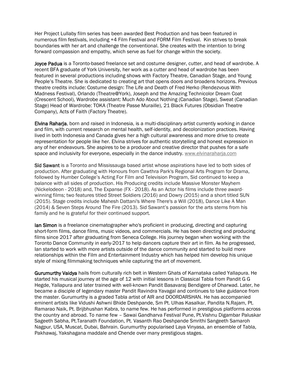Her Project Lullaby film series has been awarded Best Production and has been featured in numerous film festivals, including +4 Film Festival and FORM Film Festival. Kin strives to break boundaries with her art and challenge the conventional. She creates with the intention to bring forward compassion and empathy, which serve as fuel for change within the society.

Joyce Padua is a Toronto-based freelance set and costume designer, cutter, and head of wardrobe. A recent BFA graduate of York University, her work as a cutter and head of wardrobe has been featured in several productions including shows with Factory Theatre, Canadian Stage, and Young People's Theatre. She is dedicated to creating art that opens doors and broadens horizons. Previous theatre credits include: Costume design: The Life and Death of Fred Herko (Rendezvous With Madness Festival), Orlando (Theatre@York), Joseph and the Amazing Technicolor Dream Coat (Crescent School), Wardrobe assistant: Much Ado About Nothing (Canadian Stage), Sweat (Canadian Stage) Head of Wardrobe: TOKA (Theatre Passe Muraille), 21 Black Futures (Obsidian Theatre Company), Acts of Faith (Factory Theatre).

Elvina Raharja, born and raised in Indonesia, is a multi-disciplinary artist currently working in dance and film, with current research on mental health, self-identity, and decolonization practices. Having lived in both Indonesia and Canada gives her a high cultural awareness and more drive to create representation for people like her. Elvina strives for authentic storytelling and honest expression in any of her endeavours. She aspires to be a producer and creative director that pushes for a safe space and inclusivity for everyone, especially in the dance industry. [www.elvinaraharja.com](http://www.elvinaraharja.com/)

Sid Sawant is a Toronto and Mississauga based artist whose aspirations have led to both sides of production. After graduating with Honours from Cawthra Park's Regional Arts Program for Drama, followed by Humber College's Acting For Film and Television Program, Sid continued to keep a balance with all sides of production. His Producing credits include Massive Monster Mayhem (Nickelodeon - 2018) and, The Expanse (FX - 2018). As an Actor his films include three awardwinning films; two features titled Street Soldiers (2016) and Dowry (2015) and a short titled SUN (2015). Stage credits include Mahesh Dattani's Where There's a Will (2018), Dance Like A Man (2014) & Seven Steps Around The Fire (2013). Sid Sawant's passion for the arts stems from his family and he is grateful for their continued support.

lan Simon is a freelance cinematographer who's proficient in producing, directing and capturing short-form films, dance films, music videos, and commercials. He has been directing and producing films since 2017 after graduating from Seneca College. His journey began when working with the Toronto Dance Community in early-2017 to help dancers capture their art in film. As he progressed, Ian started to work with more artists outside of the dance community and started to build more relationships within the Film and Entertainment Industry which has helped him develop his unique style of mixing filmmaking techniques while capturing the art of movement.

Gurumurthy Vaidya hails from culturally rich belt in Western Ghats of Karnataka called Yallapura. He started his musical journey at the age of 12 with initial lessons in Classical Tabla from Pandit G G Hegde, Yallapura and later trained with well-known Pandit Basavaraj Bendigere of Dharwad. Later, he became a disciple of legendary master Pandit Ravindra Yavagal and continues to take guidance from the master. Gurumurthy is a graded Tabla artist of AIR and DOORDARSHAN. He has accompanied eminent artists like Vidushi Ashwni Bhide Deshpande, Sm Pt. Ulhas Kasalkar, Pandita N.Rajam, Pt. Ramarao Naik, Pt. Brijbhushan Kabra, to name few. He has performed in prestigious platforms across the country and abroad. To name few – Sawai Gandharva Festival Pune, Pt.Vishnu Digambar Paluskar Sageeth Sabha, Pt.Taranath Foundation, Pt. Vasanth Rao Deshpande Smrithi Sangeeth Samaroh Nagpur, USA, Muscat, Dubai, Bahrain. Gurumurthy popularised Laya Vinyasa, an ensemble of Tabla, Pakhawaj, Yakshagana maddale and Chende over many prestigious stages.